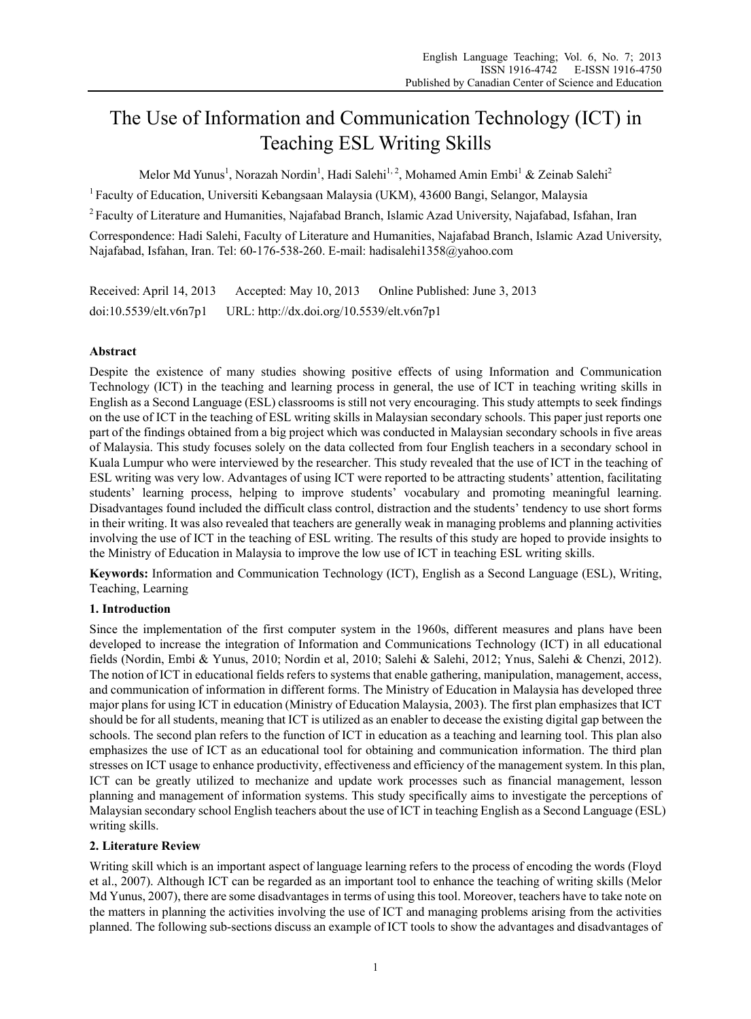# The Use of Information and Communication Technology (ICT) in Teaching ESL Writing Skills

Melor Md Yunus<sup>1</sup>, Norazah Nordin<sup>1</sup>, Hadi Salehi<sup>1, 2</sup>, Mohamed Amin Embi<sup>1</sup> & Zeinab Salehi<sup>2</sup>

<sup>1</sup> Faculty of Education, Universiti Kebangsaan Malaysia (UKM), 43600 Bangi, Selangor, Malaysia

<sup>2</sup> Faculty of Literature and Humanities, Najafabad Branch, Islamic Azad University, Najafabad, Isfahan, Iran

Correspondence: Hadi Salehi, Faculty of Literature and Humanities, Najafabad Branch, Islamic Azad University, Najafabad, Isfahan, Iran. Tel: 60-176-538-260. E-mail: hadisalehi1358@yahoo.com

Received: April 14, 2013 Accepted: May 10, 2013 Online Published: June 3, 2013 doi:10.5539/elt.v6n7p1 URL: http://dx.doi.org/10.5539/elt.v6n7p1

# **Abstract**

Despite the existence of many studies showing positive effects of using Information and Communication Technology (ICT) in the teaching and learning process in general, the use of ICT in teaching writing skills in English as a Second Language (ESL) classrooms is still not very encouraging. This study attempts to seek findings on the use of ICT in the teaching of ESL writing skills in Malaysian secondary schools. This paper just reports one part of the findings obtained from a big project which was conducted in Malaysian secondary schools in five areas of Malaysia. This study focuses solely on the data collected from four English teachers in a secondary school in Kuala Lumpur who were interviewed by the researcher. This study revealed that the use of ICT in the teaching of ESL writing was very low. Advantages of using ICT were reported to be attracting students' attention, facilitating students' learning process, helping to improve students' vocabulary and promoting meaningful learning. Disadvantages found included the difficult class control, distraction and the students' tendency to use short forms in their writing. It was also revealed that teachers are generally weak in managing problems and planning activities involving the use of ICT in the teaching of ESL writing. The results of this study are hoped to provide insights to the Ministry of Education in Malaysia to improve the low use of ICT in teaching ESL writing skills.

**Keywords:** Information and Communication Technology (ICT), English as a Second Language (ESL), Writing, Teaching, Learning

# **1. Introduction**

Since the implementation of the first computer system in the 1960s, different measures and plans have been developed to increase the integration of Information and Communications Technology (ICT) in all educational fields (Nordin, Embi & Yunus, 2010; Nordin et al, 2010; Salehi & Salehi, 2012; Ynus, Salehi & Chenzi, 2012). The notion of ICT in educational fields refers to systems that enable gathering, manipulation, management, access, and communication of information in different forms. The Ministry of Education in Malaysia has developed three major plans for using ICT in education (Ministry of Education Malaysia, 2003). The first plan emphasizes that ICT should be for all students, meaning that ICT is utilized as an enabler to decease the existing digital gap between the schools. The second plan refers to the function of ICT in education as a teaching and learning tool. This plan also emphasizes the use of ICT as an educational tool for obtaining and communication information. The third plan stresses on ICT usage to enhance productivity, effectiveness and efficiency of the management system. In this plan, ICT can be greatly utilized to mechanize and update work processes such as financial management, lesson planning and management of information systems. This study specifically aims to investigate the perceptions of Malaysian secondary school English teachers about the use of ICT in teaching English as a Second Language (ESL) writing skills.

#### **2. Literature Review**

Writing skill which is an important aspect of language learning refers to the process of encoding the words (Floyd et al., 2007). Although ICT can be regarded as an important tool to enhance the teaching of writing skills (Melor Md Yunus, 2007), there are some disadvantages in terms of using this tool. Moreover, teachers have to take note on the matters in planning the activities involving the use of ICT and managing problems arising from the activities planned. The following sub-sections discuss an example of ICT tools to show the advantages and disadvantages of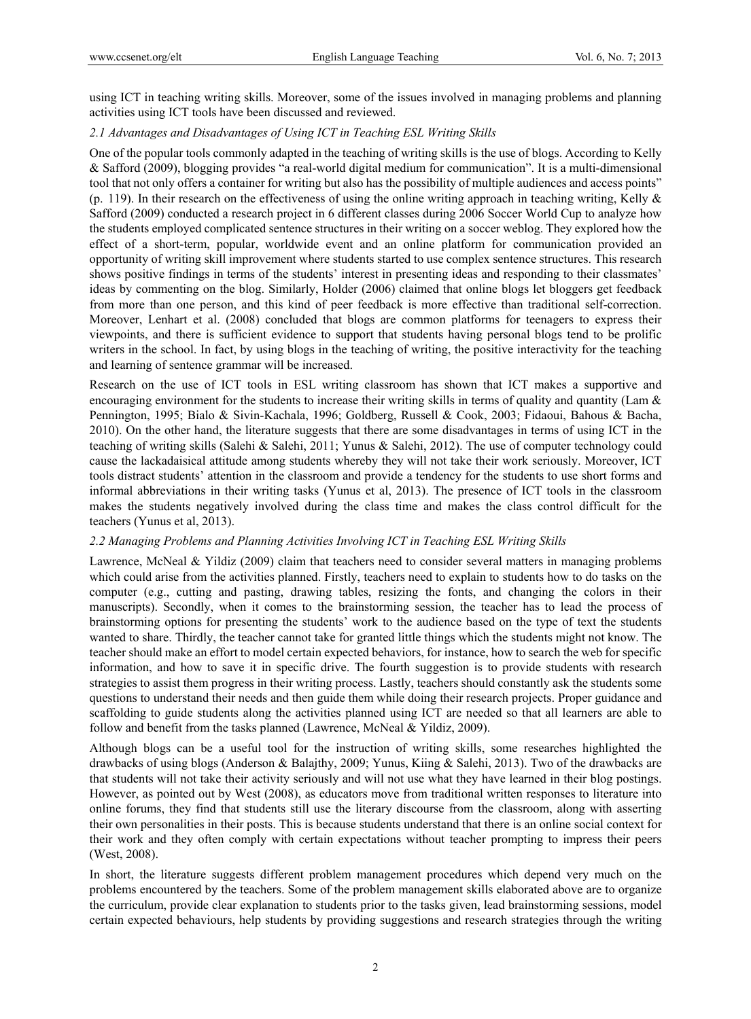using ICT in teaching writing skills. Moreover, some of the issues involved in managing problems and planning activities using ICT tools have been discussed and reviewed.

# *2.1 Advantages and Disadvantages of Using ICT in Teaching ESL Writing Skills*

One of the popular tools commonly adapted in the teaching of writing skills is the use of blogs. According to Kelly & Safford (2009), blogging provides "a real-world digital medium for communication". It is a multi-dimensional tool that not only offers a container for writing but also has the possibility of multiple audiences and access points" (p. 119). In their research on the effectiveness of using the online writing approach in teaching writing, Kelly  $\&$ Safford (2009) conducted a research project in 6 different classes during 2006 Soccer World Cup to analyze how the students employed complicated sentence structures in their writing on a soccer weblog. They explored how the effect of a short-term, popular, worldwide event and an online platform for communication provided an opportunity of writing skill improvement where students started to use complex sentence structures. This research shows positive findings in terms of the students' interest in presenting ideas and responding to their classmates' ideas by commenting on the blog. Similarly, Holder (2006) claimed that online blogs let bloggers get feedback from more than one person, and this kind of peer feedback is more effective than traditional self-correction. Moreover, Lenhart et al. (2008) concluded that blogs are common platforms for teenagers to express their viewpoints, and there is sufficient evidence to support that students having personal blogs tend to be prolific writers in the school. In fact, by using blogs in the teaching of writing, the positive interactivity for the teaching and learning of sentence grammar will be increased.

Research on the use of ICT tools in ESL writing classroom has shown that ICT makes a supportive and encouraging environment for the students to increase their writing skills in terms of quality and quantity (Lam  $\&$ Pennington, 1995; Bialo & Sivin-Kachala, 1996; Goldberg, Russell & Cook, 2003; Fidaoui, Bahous & Bacha, 2010). On the other hand, the literature suggests that there are some disadvantages in terms of using ICT in the teaching of writing skills (Salehi & Salehi, 2011; Yunus & Salehi, 2012). The use of computer technology could cause the lackadaisical attitude among students whereby they will not take their work seriously. Moreover, ICT tools distract students' attention in the classroom and provide a tendency for the students to use short forms and informal abbreviations in their writing tasks (Yunus et al, 2013). The presence of ICT tools in the classroom makes the students negatively involved during the class time and makes the class control difficult for the teachers (Yunus et al, 2013).

#### *2.2 Managing Problems and Planning Activities Involving ICT in Teaching ESL Writing Skills*

Lawrence, McNeal & Yildiz (2009) claim that teachers need to consider several matters in managing problems which could arise from the activities planned. Firstly, teachers need to explain to students how to do tasks on the computer (e.g., cutting and pasting, drawing tables, resizing the fonts, and changing the colors in their manuscripts). Secondly, when it comes to the brainstorming session, the teacher has to lead the process of brainstorming options for presenting the students' work to the audience based on the type of text the students wanted to share. Thirdly, the teacher cannot take for granted little things which the students might not know. The teacher should make an effort to model certain expected behaviors, for instance, how to search the web for specific information, and how to save it in specific drive. The fourth suggestion is to provide students with research strategies to assist them progress in their writing process. Lastly, teachers should constantly ask the students some questions to understand their needs and then guide them while doing their research projects. Proper guidance and scaffolding to guide students along the activities planned using ICT are needed so that all learners are able to follow and benefit from the tasks planned (Lawrence, McNeal & Yildiz, 2009).

Although blogs can be a useful tool for the instruction of writing skills, some researches highlighted the drawbacks of using blogs (Anderson & Balajthy, 2009; Yunus, Kiing & Salehi, 2013). Two of the drawbacks are that students will not take their activity seriously and will not use what they have learned in their blog postings. However, as pointed out by West (2008), as educators move from traditional written responses to literature into online forums, they find that students still use the literary discourse from the classroom, along with asserting their own personalities in their posts. This is because students understand that there is an online social context for their work and they often comply with certain expectations without teacher prompting to impress their peers (West, 2008).

In short, the literature suggests different problem management procedures which depend very much on the problems encountered by the teachers. Some of the problem management skills elaborated above are to organize the curriculum, provide clear explanation to students prior to the tasks given, lead brainstorming sessions, model certain expected behaviours, help students by providing suggestions and research strategies through the writing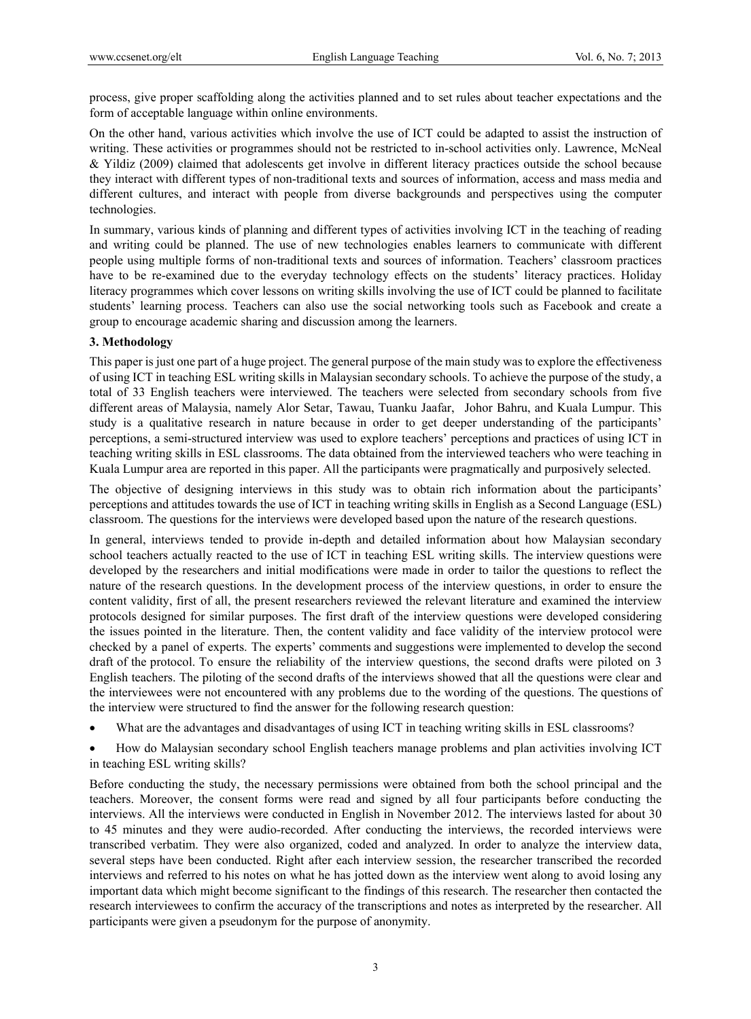process, give proper scaffolding along the activities planned and to set rules about teacher expectations and the form of acceptable language within online environments.

On the other hand, various activities which involve the use of ICT could be adapted to assist the instruction of writing. These activities or programmes should not be restricted to in-school activities only. Lawrence, McNeal & Yildiz (2009) claimed that adolescents get involve in different literacy practices outside the school because they interact with different types of non-traditional texts and sources of information, access and mass media and different cultures, and interact with people from diverse backgrounds and perspectives using the computer technologies.

In summary, various kinds of planning and different types of activities involving ICT in the teaching of reading and writing could be planned. The use of new technologies enables learners to communicate with different people using multiple forms of non-traditional texts and sources of information. Teachers' classroom practices have to be re-examined due to the everyday technology effects on the students' literacy practices. Holiday literacy programmes which cover lessons on writing skills involving the use of ICT could be planned to facilitate students' learning process. Teachers can also use the social networking tools such as Facebook and create a group to encourage academic sharing and discussion among the learners.

#### **3. Methodology**

This paper is just one part of a huge project. The general purpose of the main study was to explore the effectiveness of using ICT in teaching ESL writing skills in Malaysian secondary schools. To achieve the purpose of the study, a total of 33 English teachers were interviewed. The teachers were selected from secondary schools from five different areas of Malaysia, namely Alor Setar, Tawau, Tuanku Jaafar, Johor Bahru, and Kuala Lumpur. This study is a qualitative research in nature because in order to get deeper understanding of the participants' perceptions, a semi-structured interview was used to explore teachers' perceptions and practices of using ICT in teaching writing skills in ESL classrooms. The data obtained from the interviewed teachers who were teaching in Kuala Lumpur area are reported in this paper. All the participants were pragmatically and purposively selected.

The objective of designing interviews in this study was to obtain rich information about the participants' perceptions and attitudes towards the use of ICT in teaching writing skills in English as a Second Language (ESL) classroom. The questions for the interviews were developed based upon the nature of the research questions.

In general, interviews tended to provide in-depth and detailed information about how Malaysian secondary school teachers actually reacted to the use of ICT in teaching ESL writing skills. The interview questions were developed by the researchers and initial modifications were made in order to tailor the questions to reflect the nature of the research questions. In the development process of the interview questions, in order to ensure the content validity, first of all, the present researchers reviewed the relevant literature and examined the interview protocols designed for similar purposes. The first draft of the interview questions were developed considering the issues pointed in the literature. Then, the content validity and face validity of the interview protocol were checked by a panel of experts. The experts' comments and suggestions were implemented to develop the second draft of the protocol. To ensure the reliability of the interview questions, the second drafts were piloted on 3 English teachers. The piloting of the second drafts of the interviews showed that all the questions were clear and the interviewees were not encountered with any problems due to the wording of the questions. The questions of the interview were structured to find the answer for the following research question:

What are the advantages and disadvantages of using ICT in teaching writing skills in ESL classrooms?

 How do Malaysian secondary school English teachers manage problems and plan activities involving ICT in teaching ESL writing skills?

Before conducting the study, the necessary permissions were obtained from both the school principal and the teachers. Moreover, the consent forms were read and signed by all four participants before conducting the interviews. All the interviews were conducted in English in November 2012. The interviews lasted for about 30 to 45 minutes and they were audio-recorded. After conducting the interviews, the recorded interviews were transcribed verbatim. They were also organized, coded and analyzed. In order to analyze the interview data, several steps have been conducted. Right after each interview session, the researcher transcribed the recorded interviews and referred to his notes on what he has jotted down as the interview went along to avoid losing any important data which might become significant to the findings of this research. The researcher then contacted the research interviewees to confirm the accuracy of the transcriptions and notes as interpreted by the researcher. All participants were given a pseudonym for the purpose of anonymity.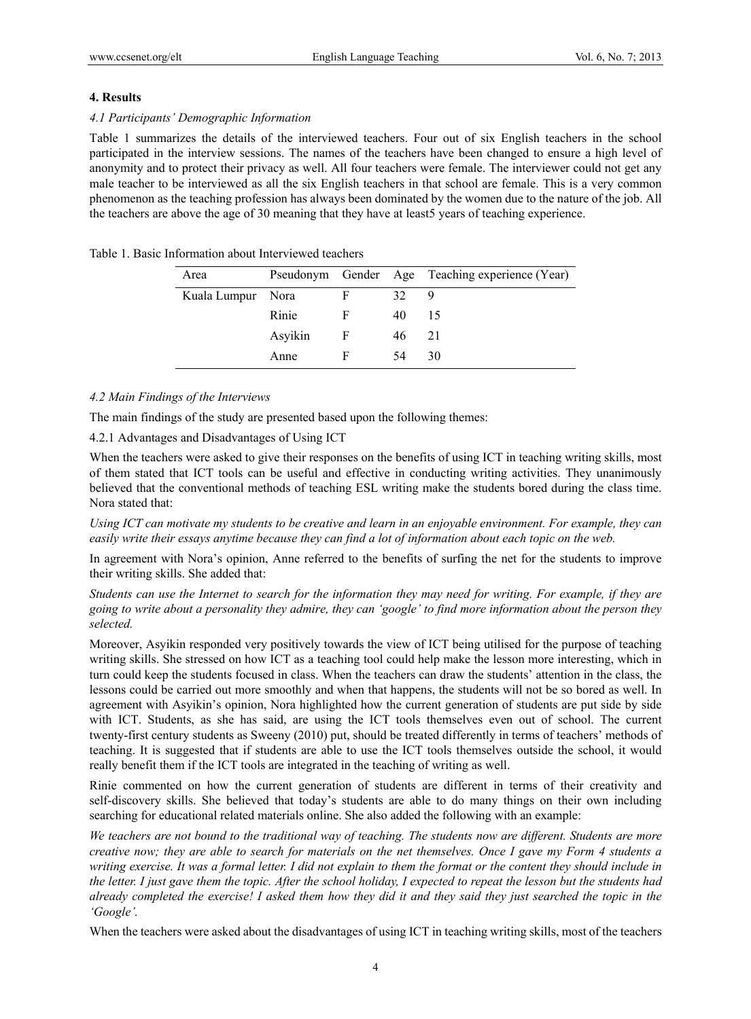# **4. Results**

# *4.1 Participants' Demographic Information*

Table 1 summarizes the details of the interviewed teachers. Four out of six English teachers in the school participated in the interview sessions. The names of the teachers have been changed to ensure a high level of anonymity and to protect their privacy as well. All four teachers were female. The interviewer could not get any male teacher to be interviewed as all the six English teachers in that school are female. This is a very common phenomenon as the teaching profession has always been dominated by the women due to the nature of the job. All the teachers are above the age of 30 meaning that they have at least5 years of teaching experience.

|  |  |  |  | Table 1. Basic Information about Interviewed teachers |  |
|--|--|--|--|-------------------------------------------------------|--|
|--|--|--|--|-------------------------------------------------------|--|

| Area              |         |   |    | Pseudonym Gender Age Teaching experience (Year) |
|-------------------|---------|---|----|-------------------------------------------------|
| Kuala Lumpur Nora |         |   | 32 | 9                                               |
|                   | Rinie   | F | 40 | -15                                             |
|                   | Asyikin | F | 46 | 21                                              |
|                   | Anne    | F | 54 | 30                                              |

# *4.2 Main Findings of the Interviews*

The main findings of the study are presented based upon the following themes:

4.2.1 Advantages and Disadvantages of Using ICT

When the teachers were asked to give their responses on the benefits of using ICT in teaching writing skills, most of them stated that ICT tools can be useful and effective in conducting writing activities. They unanimously believed that the conventional methods of teaching ESL writing make the students bored during the class time. Nora stated that:

*Using ICT can motivate my students to be creative and learn in an enjoyable environment. For example, they can easily write their essays anytime because they can find a lot of information about each topic on the web.* 

In agreement with Nora's opinion, Anne referred to the benefits of surfing the net for the students to improve their writing skills. She added that:

*Students can use the Internet to search for the information they may need for writing. For example, if they are going to write about a personality they admire, they can 'google' to find more information about the person they selected.* 

Moreover, Asyikin responded very positively towards the view of ICT being utilised for the purpose of teaching writing skills. She stressed on how ICT as a teaching tool could help make the lesson more interesting, which in turn could keep the students focused in class. When the teachers can draw the students' attention in the class, the lessons could be carried out more smoothly and when that happens, the students will not be so bored as well. In agreement with Asyikin's opinion, Nora highlighted how the current generation of students are put side by side with ICT. Students, as she has said, are using the ICT tools themselves even out of school. The current twenty-first century students as Sweeny (2010) put, should be treated differently in terms of teachers' methods of teaching. It is suggested that if students are able to use the ICT tools themselves outside the school, it would really benefit them if the ICT tools are integrated in the teaching of writing as well.

Rinie commented on how the current generation of students are different in terms of their creativity and self-discovery skills. She believed that today's students are able to do many things on their own including searching for educational related materials online. She also added the following with an example:

*We teachers are not bound to the traditional way of teaching. The students now are different. Students are more creative now; they are able to search for materials on the net themselves. Once I gave my Form 4 students a writing exercise. It was a formal letter. I did not explain to them the format or the content they should include in the letter. I just gave them the topic. After the school holiday, I expected to repeat the lesson but the students had already completed the exercise! I asked them how they did it and they said they just searched the topic in the 'Google'.* 

When the teachers were asked about the disadvantages of using ICT in teaching writing skills, most of the teachers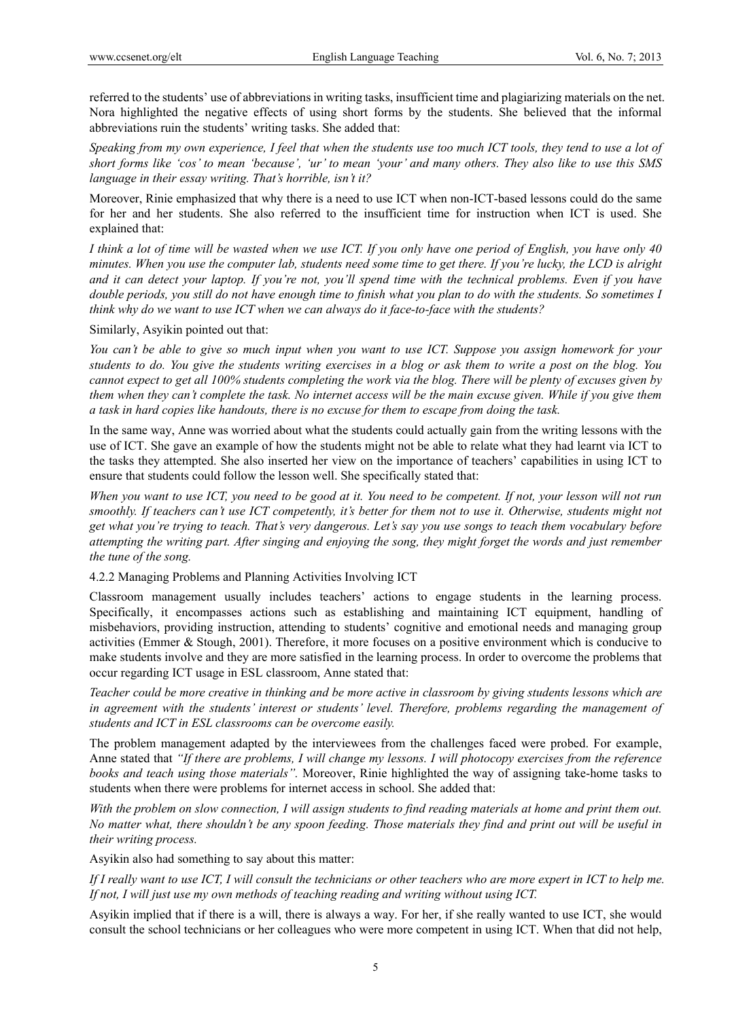referred to the students' use of abbreviations in writing tasks, insufficient time and plagiarizing materials on the net. Nora highlighted the negative effects of using short forms by the students. She believed that the informal abbreviations ruin the students' writing tasks. She added that:

*Speaking from my own experience, I feel that when the students use too much ICT tools, they tend to use a lot of short forms like 'cos' to mean 'because', 'ur' to mean 'your' and many others. They also like to use this SMS language in their essay writing. That's horrible, isn't it?* 

Moreover, Rinie emphasized that why there is a need to use ICT when non-ICT-based lessons could do the same for her and her students. She also referred to the insufficient time for instruction when ICT is used. She explained that:

*I think a lot of time will be wasted when we use ICT. If you only have one period of English, you have only 40 minutes. When you use the computer lab, students need some time to get there. If you're lucky, the LCD is alright and it can detect your laptop. If you're not, you'll spend time with the technical problems. Even if you have double periods, you still do not have enough time to finish what you plan to do with the students. So sometimes I think why do we want to use ICT when we can always do it face-to-face with the students?* 

Similarly, Asyikin pointed out that:

*You can't be able to give so much input when you want to use ICT. Suppose you assign homework for your students to do. You give the students writing exercises in a blog or ask them to write a post on the blog. You cannot expect to get all 100% students completing the work via the blog. There will be plenty of excuses given by them when they can't complete the task. No internet access will be the main excuse given. While if you give them a task in hard copies like handouts, there is no excuse for them to escape from doing the task.* 

In the same way, Anne was worried about what the students could actually gain from the writing lessons with the use of ICT. She gave an example of how the students might not be able to relate what they had learnt via ICT to the tasks they attempted. She also inserted her view on the importance of teachers' capabilities in using ICT to ensure that students could follow the lesson well. She specifically stated that:

*When you want to use ICT, you need to be good at it. You need to be competent. If not, your lesson will not run smoothly. If teachers can't use ICT competently, it's better for them not to use it. Otherwise, students might not get what you're trying to teach. That's very dangerous. Let's say you use songs to teach them vocabulary before attempting the writing part. After singing and enjoying the song, they might forget the words and just remember the tune of the song.* 

4.2.2 Managing Problems and Planning Activities Involving ICT

Classroom management usually includes teachers' actions to engage students in the learning process. Specifically, it encompasses actions such as establishing and maintaining ICT equipment, handling of misbehaviors, providing instruction, attending to students' cognitive and emotional needs and managing group activities (Emmer & Stough, 2001). Therefore, it more focuses on a positive environment which is conducive to make students involve and they are more satisfied in the learning process. In order to overcome the problems that occur regarding ICT usage in ESL classroom, Anne stated that:

*Teacher could be more creative in thinking and be more active in classroom by giving students lessons which are in agreement with the students' interest or students' level. Therefore, problems regarding the management of students and ICT in ESL classrooms can be overcome easily.* 

The problem management adapted by the interviewees from the challenges faced were probed. For example, Anne stated that *"If there are problems, I will change my lessons. I will photocopy exercises from the reference books and teach using those materials".* Moreover, Rinie highlighted the way of assigning take-home tasks to students when there were problems for internet access in school. She added that:

*With the problem on slow connection, I will assign students to find reading materials at home and print them out. No matter what, there shouldn't be any spoon feeding. Those materials they find and print out will be useful in their writing process.* 

Asyikin also had something to say about this matter:

*If I really want to use ICT, I will consult the technicians or other teachers who are more expert in ICT to help me. If not, I will just use my own methods of teaching reading and writing without using ICT.* 

Asyikin implied that if there is a will, there is always a way. For her, if she really wanted to use ICT, she would consult the school technicians or her colleagues who were more competent in using ICT. When that did not help,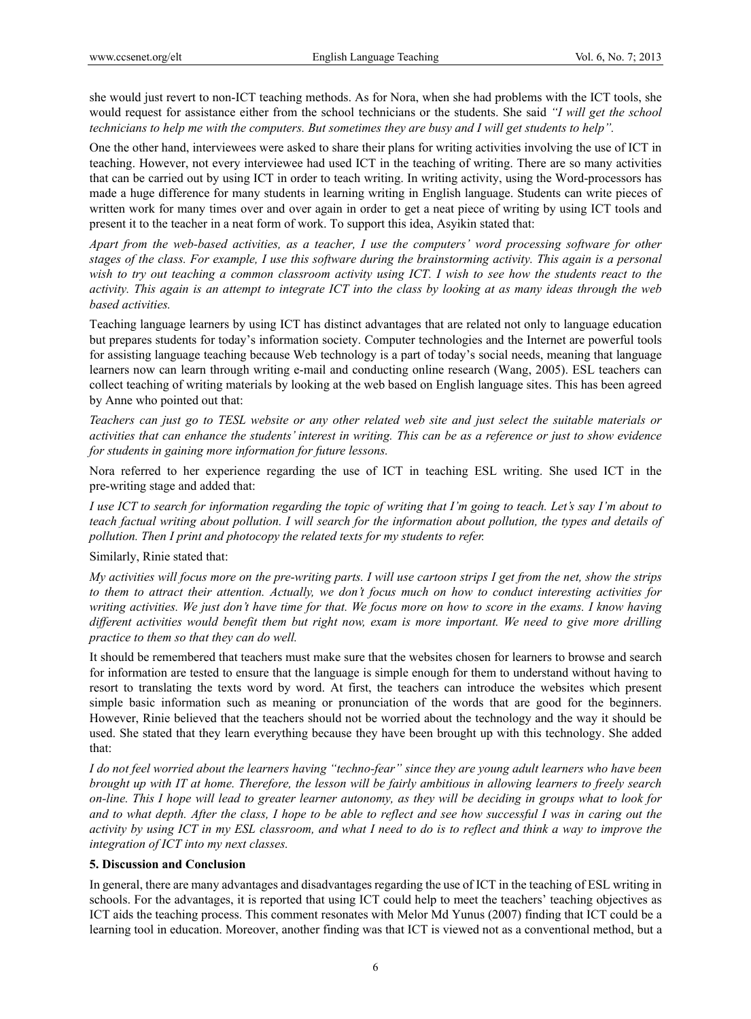she would just revert to non-ICT teaching methods. As for Nora, when she had problems with the ICT tools, she would request for assistance either from the school technicians or the students. She said *"I will get the school technicians to help me with the computers. But sometimes they are busy and I will get students to help".*

One the other hand, interviewees were asked to share their plans for writing activities involving the use of ICT in teaching. However, not every interviewee had used ICT in the teaching of writing. There are so many activities that can be carried out by using ICT in order to teach writing. In writing activity, using the Word-processors has made a huge difference for many students in learning writing in English language. Students can write pieces of written work for many times over and over again in order to get a neat piece of writing by using ICT tools and present it to the teacher in a neat form of work. To support this idea, Asyikin stated that:

*Apart from the web-based activities, as a teacher, I use the computers' word processing software for other stages of the class. For example, I use this software during the brainstorming activity. This again is a personal wish to try out teaching a common classroom activity using ICT. I wish to see how the students react to the activity. This again is an attempt to integrate ICT into the class by looking at as many ideas through the web based activities.* 

Teaching language learners by using ICT has distinct advantages that are related not only to language education but prepares students for today's information society. Computer technologies and the Internet are powerful tools for assisting language teaching because Web technology is a part of today's social needs, meaning that language learners now can learn through writing e-mail and conducting online research (Wang, 2005). ESL teachers can collect teaching of writing materials by looking at the web based on English language sites. This has been agreed by Anne who pointed out that:

*Teachers can just go to TESL website or any other related web site and just select the suitable materials or activities that can enhance the students' interest in writing. This can be as a reference or just to show evidence for students in gaining more information for future lessons.* 

Nora referred to her experience regarding the use of ICT in teaching ESL writing. She used ICT in the pre-writing stage and added that:

*I use ICT to search for information regarding the topic of writing that I'm going to teach. Let's say I'm about to teach factual writing about pollution. I will search for the information about pollution, the types and details of pollution. Then I print and photocopy the related texts for my students to refer.* 

Similarly, Rinie stated that:

*My activities will focus more on the pre-writing parts. I will use cartoon strips I get from the net, show the strips to them to attract their attention. Actually, we don't focus much on how to conduct interesting activities for writing activities. We just don't have time for that. We focus more on how to score in the exams. I know having different activities would benefit them but right now, exam is more important. We need to give more drilling practice to them so that they can do well.* 

It should be remembered that teachers must make sure that the websites chosen for learners to browse and search for information are tested to ensure that the language is simple enough for them to understand without having to resort to translating the texts word by word. At first, the teachers can introduce the websites which present simple basic information such as meaning or pronunciation of the words that are good for the beginners. However, Rinie believed that the teachers should not be worried about the technology and the way it should be used. She stated that they learn everything because they have been brought up with this technology. She added that:

*I do not feel worried about the learners having "techno-fear" since they are young adult learners who have been brought up with IT at home. Therefore, the lesson will be fairly ambitious in allowing learners to freely search on-line. This I hope will lead to greater learner autonomy, as they will be deciding in groups what to look for and to what depth. After the class, I hope to be able to reflect and see how successful I was in caring out the activity by using ICT in my ESL classroom, and what I need to do is to reflect and think a way to improve the integration of ICT into my next classes.* 

#### **5. Discussion and Conclusion**

In general, there are many advantages and disadvantages regarding the use of ICT in the teaching of ESL writing in schools. For the advantages, it is reported that using ICT could help to meet the teachers' teaching objectives as ICT aids the teaching process. This comment resonates with Melor Md Yunus (2007) finding that ICT could be a learning tool in education. Moreover, another finding was that ICT is viewed not as a conventional method, but a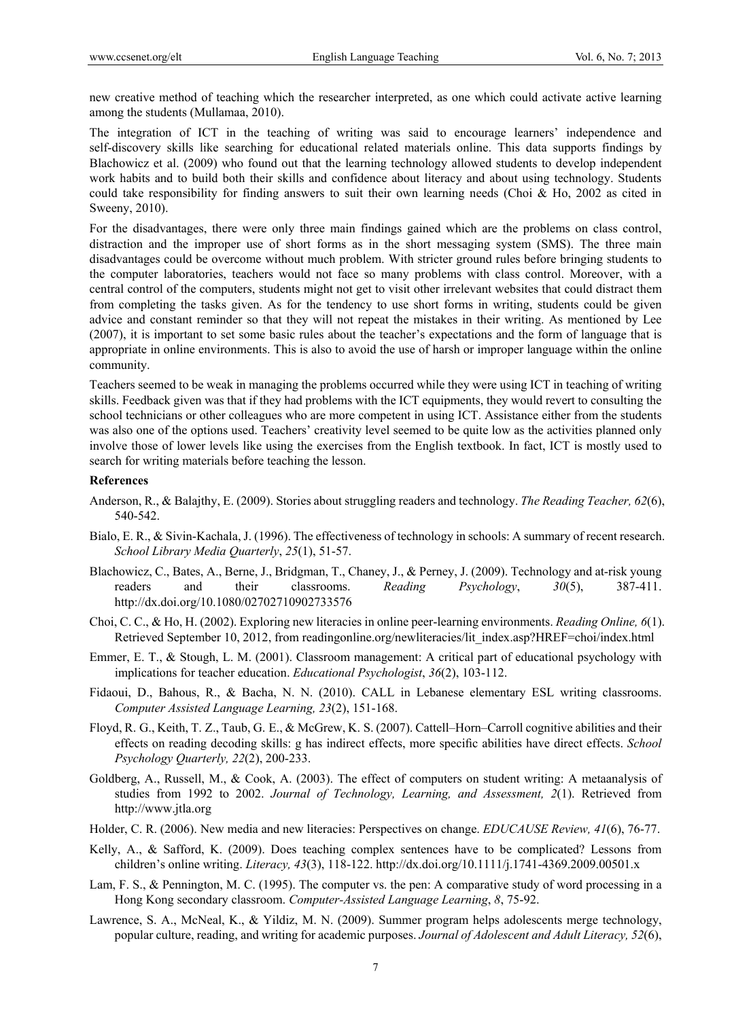new creative method of teaching which the researcher interpreted, as one which could activate active learning among the students (Mullamaa, 2010).

The integration of ICT in the teaching of writing was said to encourage learners' independence and self-discovery skills like searching for educational related materials online. This data supports findings by Blachowicz et al. (2009) who found out that the learning technology allowed students to develop independent work habits and to build both their skills and confidence about literacy and about using technology. Students could take responsibility for finding answers to suit their own learning needs (Choi & Ho, 2002 as cited in Sweeny, 2010).

For the disadvantages, there were only three main findings gained which are the problems on class control, distraction and the improper use of short forms as in the short messaging system (SMS). The three main disadvantages could be overcome without much problem. With stricter ground rules before bringing students to the computer laboratories, teachers would not face so many problems with class control. Moreover, with a central control of the computers, students might not get to visit other irrelevant websites that could distract them from completing the tasks given. As for the tendency to use short forms in writing, students could be given advice and constant reminder so that they will not repeat the mistakes in their writing. As mentioned by Lee (2007), it is important to set some basic rules about the teacher's expectations and the form of language that is appropriate in online environments. This is also to avoid the use of harsh or improper language within the online community.

Teachers seemed to be weak in managing the problems occurred while they were using ICT in teaching of writing skills. Feedback given was that if they had problems with the ICT equipments, they would revert to consulting the school technicians or other colleagues who are more competent in using ICT. Assistance either from the students was also one of the options used. Teachers' creativity level seemed to be quite low as the activities planned only involve those of lower levels like using the exercises from the English textbook. In fact, ICT is mostly used to search for writing materials before teaching the lesson.

#### **References**

- Anderson, R., & Balajthy, E. (2009). Stories about struggling readers and technology. *The Reading Teacher, 62*(6), 540-542.
- Bialo, E. R., & Sivin-Kachala, J. (1996). The effectiveness of technology in schools: A summary of recent research. *School Library Media Quarterly*, *25*(1), 51-57.
- Blachowicz, C., Bates, A., Berne, J., Bridgman, T., Chaney, J., & Perney, J. (2009). Technology and at-risk young readers and their classrooms. *Reading Psychology*, *30*(5), 387-411. http://dx.doi.org/10.1080/02702710902733576
- Choi, C. C., & Ho, H. (2002). Exploring new literacies in online peer-learning environments. *Reading Online, 6*(1). Retrieved September 10, 2012, from readingonline.org/newliteracies/lit\_index.asp?HREF=choi/index.html
- Emmer, E. T., & Stough, L. M. (2001). Classroom management: A critical part of educational psychology with implications for teacher education. *Educational Psychologist*, *36*(2), 103-112.
- Fidaoui, D., Bahous, R., & Bacha, N. N. (2010). CALL in Lebanese elementary ESL writing classrooms. *Computer Assisted Language Learning, 23*(2), 151-168.
- Floyd, R. G., Keith, T. Z., Taub, G. E., & McGrew, K. S. (2007). Cattell–Horn–Carroll cognitive abilities and their effects on reading decoding skills: g has indirect effects, more specific abilities have direct effects. *School Psychology Quarterly, 22*(2), 200-233.
- Goldberg, A., Russell, M., & Cook, A. (2003). The effect of computers on student writing: A metaanalysis of studies from 1992 to 2002. *Journal of Technology, Learning, and Assessment, 2*(1). Retrieved from http://www.jtla.org
- Holder, C. R. (2006). New media and new literacies: Perspectives on change. *EDUCAUSE Review, 41*(6), 76-77.
- Kelly, A., & Safford, K. (2009). Does teaching complex sentences have to be complicated? Lessons from children's online writing. *Literacy, 43*(3), 118-122. http://dx.doi.org/10.1111/j.1741-4369.2009.00501.x
- Lam, F. S., & Pennington, M. C. (1995). The computer vs. the pen: A comparative study of word processing in a Hong Kong secondary classroom. *Computer-Assisted Language Learning*, *8*, 75-92.
- Lawrence, S. A., McNeal, K., & Yildiz, M. N. (2009). Summer program helps adolescents merge technology, popular culture, reading, and writing for academic purposes. *Journal of Adolescent and Adult Literacy, 52*(6),